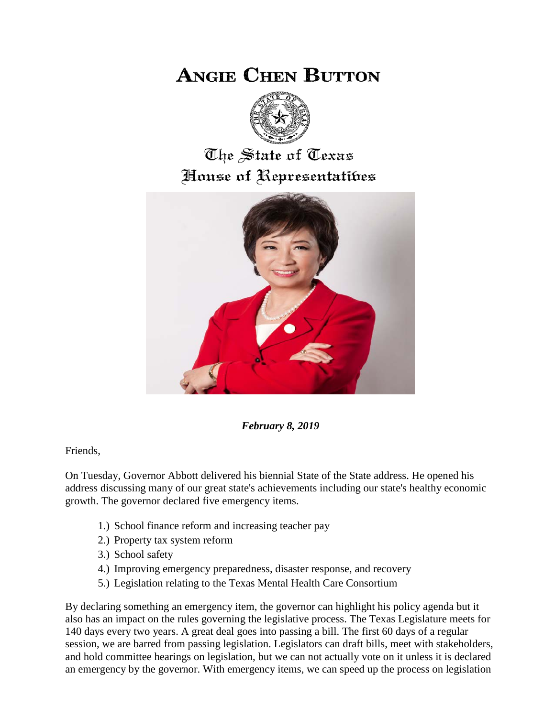## **ANGIE CHEN BUTTON**



## The State of Texas House of Representatibes



*February 8, 2019*

Friends,

On Tuesday, Governor Abbott delivered his biennial State of the State address. He opened his address discussing many of our great state's achievements including our state's healthy economic growth. The governor declared five emergency items.

- 1.) School finance reform and increasing teacher pay
- 2.) Property tax system reform
- 3.) School safety
- 4.) Improving emergency preparedness, disaster response, and recovery
- 5.) Legislation relating to the Texas Mental Health Care Consortium

By declaring something an emergency item, the governor can highlight his policy agenda but it also has an impact on the rules governing the legislative process. The Texas Legislature meets for 140 days every two years. A great deal goes into passing a bill. The first 60 days of a regular session, we are barred from passing legislation. Legislators can draft bills, meet with stakeholders, and hold committee hearings on legislation, but we can not actually vote on it unless it is declared an emergency by the governor. With emergency items, we can speed up the process on legislation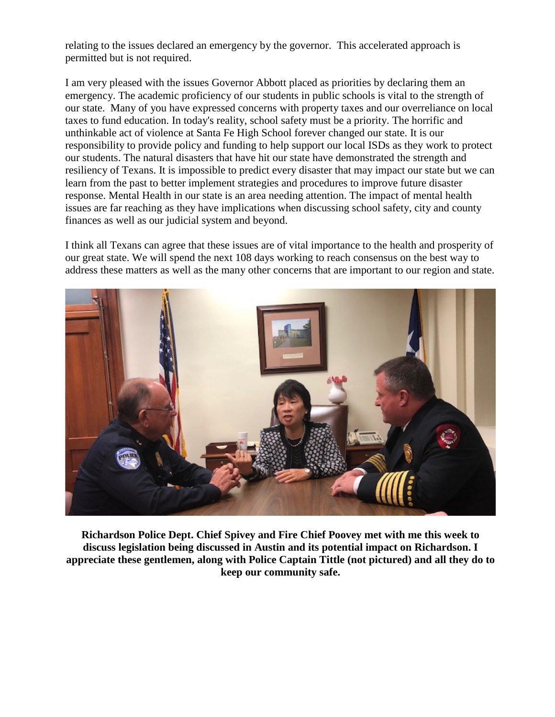relating to the issues declared an emergency by the governor. This accelerated approach is permitted but is not required.

I am very pleased with the issues Governor Abbott placed as priorities by declaring them an emergency. The academic proficiency of our students in public schools is vital to the strength of our state. Many of you have expressed concerns with property taxes and our overreliance on local taxes to fund education. In today's reality, school safety must be a priority. The horrific and unthinkable act of violence at Santa Fe High School forever changed our state. It is our responsibility to provide policy and funding to help support our local ISDs as they work to protect our students. The natural disasters that have hit our state have demonstrated the strength and resiliency of Texans. It is impossible to predict every disaster that may impact our state but we can learn from the past to better implement strategies and procedures to improve future disaster response. Mental Health in our state is an area needing attention. The impact of mental health issues are far reaching as they have implications when discussing school safety, city and county finances as well as our judicial system and beyond.

I think all Texans can agree that these issues are of vital importance to the health and prosperity of our great state. We will spend the next 108 days working to reach consensus on the best way to address these matters as well as the many other concerns that are important to our region and state.



**Richardson Police Dept. Chief Spivey and Fire Chief Poovey met with me this week to discuss legislation being discussed in Austin and its potential impact on Richardson. I appreciate these gentlemen, along with Police Captain Tittle (not pictured) and all they do to keep our community safe.**